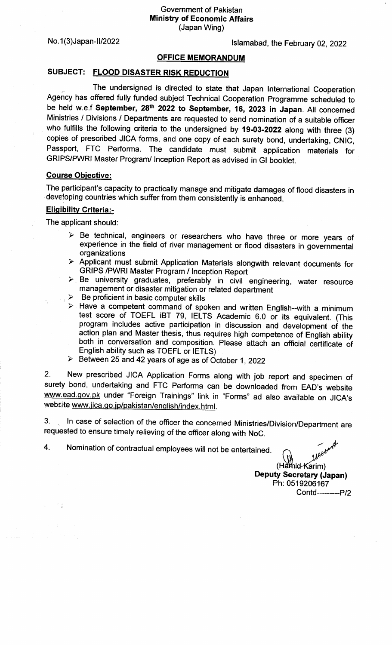No.1(3)Japan-II/2022 **lslamabad, the February 02, 2022** 

## OFFICE MEMORANDUM

## SUBJECT: FLOOD DISASTER RISK REDUCTION

<u>์</u><br>กล The undersigned is directed to state that Japan lnternational Cooperation Agency has offered fully funded subject Technical Cooperation Programme scheduled to be held w.e.f September, 28<sup>th</sup> 2022 to September, 16, 2023 in Japan. All concerned Ministries / Divisions / Departments are requested to send nomination of a suitable officer who fulfills the following criteria to the undersigned by 19-03-2022 along with three (3) copies of prescribed JICA forms, and one copy of each surety bond, undertaking, CNIC,<br>Passport. FTC Performa. The candidate must submit application materials for FTC Performa. The candidate must submit application materials for GRIPS/PWRI Master Program/ lnception Report as advised in Gl booklet.

## Course Obiective:

The participant's capacity to practically manage and mitigate damages of flood disasters in developing countries which suffer from them consistenfly is enhanced.

## **Eligibility Criteria:-**

The applicant should:

.t

- $\triangleright$  Be technical, engineers or researchers who have three or more years of experience in the field of river management or flood disasters in governmental
- organizations<br>
> Applicant must submit Application Materials alongwith relevant documents for GRIPS /PWRI Master Program / Inception Report<br>
> Be university graduates, preferably in civil engineering, water resource
- management or disaster mitigation or related department
- 
- $\triangleright$  Have a competent command of spoken and written English--with a minimum test score of TOEFL iBT 79, IELTS Academic 6.0 or its equivalent. (This program includes active participation in discussion and development of the action plan and Master thesis, thus requires high competence of English ability both in conversation and composition. Please attach an official certificate of English ability such as TOEFL or IETLS)<br>→ Between 25 and 42 years of age as of October 1, 2022
- 

2. New prescribed JICA Application Forms along with job report and specimen of surety bond, undertaking and FTC Performa can be downloaded from EAD's website www.ead.gov.pk under "Foreign Trainings" link in "Forms" ad also available on JICA's website www.jica.go.jp/pakistan/english/index.html.

3. ln case of selection of the officer the concerned Ministries/Division/Department are requested to ensure timely relieving of the officer along with NoC.

4. Nomination of contractual employees will not be entertained.

 $(H\ddot{\mathbf{a}}\ddot{\mathbf{m}})$ Deputy Secretary (Japan) Ph: 0519206167 Contd----------P/2